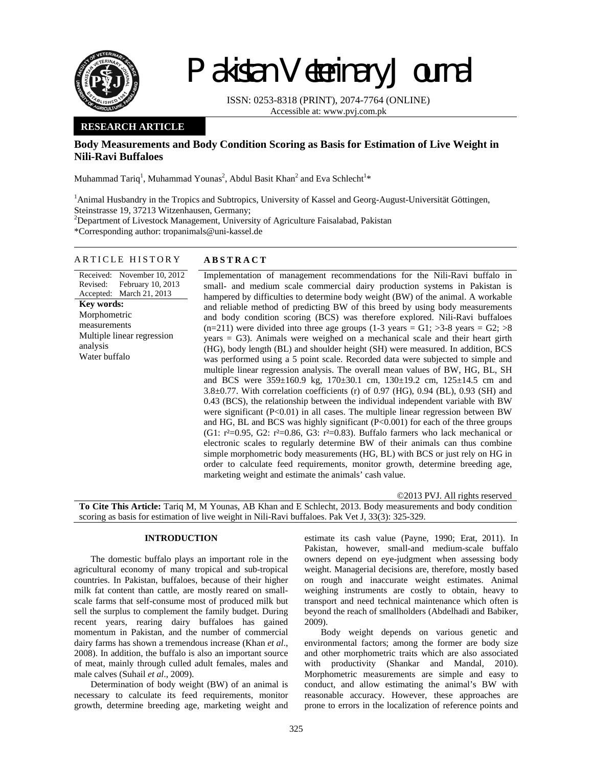

# Pakistan Veterinary Journal

ISSN: 0253-8318 (PRINT), 2074-7764 (ONLINE) Accessible at: www.pvj.com.pk

# **RESEARCH ARTICLE**

# **Body Measurements and Body Condition Scoring as Basis for Estimation of Live Weight in Nili-Ravi Buffaloes**

Muhammad Tariq<sup>1</sup>, Muhammad Younas<sup>2</sup>, Abdul Basit Khan<sup>2</sup> and Eva Schlecht<sup>1</sup>\*

<sup>1</sup> Animal Husbandry in the Tropics and Subtropics, University of Kassel and Georg-August-Universität Göttingen, Steinstrasse 19, 37213 Witzenhausen, Germany;

<sup>2</sup>Department of Livestock Management, University of Agriculture Faisalabad, Pakistan

\*Corresponding author: tropanimals@uni-kassel.de

## ARTICLE HISTORY **ABSTRACT**

Received: November 10, 2012 Revised: Accepted: March 21, 2013 February 10, 2013 **Key words:**  Morphometric measurements Multiple linear regression analysis Water buffalo

Implementation of management recommendations for the Nili-Ravi buffalo in small- and medium scale commercial dairy production systems in Pakistan is hampered by difficulties to determine body weight (BW) of the animal. A workable and reliable method of predicting BW of this breed by using body measurements and body condition scoring (BCS) was therefore explored. Nili-Ravi buffaloes  $(n=211)$  were divided into three age groups  $(1-3 \text{ years} = G1; >3-8 \text{ years} = G2; >8$ years = G3). Animals were weighed on a mechanical scale and their heart girth (HG), body length (BL) and shoulder height (SH) were measured. In addition, BCS was performed using a 5 point scale. Recorded data were subjected to simple and multiple linear regression analysis. The overall mean values of BW, HG, BL, SH and BCS were 359±160.9 kg, 170±30.1 cm, 130±19.2 cm, 125±14.5 cm and 3.8±0.77. With correlation coefficients (r) of 0.97 (HG), 0.94 (BL), 0.93 (SH) and 0.43 (BCS), the relationship between the individual independent variable with BW were significant  $(P<0.01)$  in all cases. The multiple linear regression between BW and HG, BL and BCS was highly significant (P<0.001) for each of the three groups (G1:  $r^2=0.95$ , G2:  $r^2=0.86$ , G3:  $r^2=0.83$ ). Buffalo farmers who lack mechanical or electronic scales to regularly determine BW of their animals can thus combine simple morphometric body measurements (HG, BL) with BCS or just rely on HG in order to calculate feed requirements, monitor growth, determine breeding age, marketing weight and estimate the animals' cash value.

©2013 PVJ. All rights reserved **To Cite This Article:** Tariq M, M Younas, AB Khan and E Schlecht, 2013. Body measurements and body condition scoring as basis for estimation of live weight in Nili-Ravi buffaloes. Pak Vet J, 33(3): 325-329.

# **INTRODUCTION**

The domestic buffalo plays an important role in the agricultural economy of many tropical and sub-tropical countries. In Pakistan, buffaloes, because of their higher milk fat content than cattle, are mostly reared on smallscale farms that self-consume most of produced milk but sell the surplus to complement the family budget. During recent years, rearing dairy buffaloes has gained momentum in Pakistan, and the number of commercial dairy farms has shown a tremendous increase (Khan *et al*., 2008). In addition, the buffalo is also an important source of meat, mainly through culled adult females, males and male calves (Suhail *et al*., 2009).

Determination of body weight (BW) of an animal is necessary to calculate its feed requirements, monitor growth, determine breeding age, marketing weight and

estimate its cash value (Payne, 1990; Erat, 2011). In Pakistan, however, small-and medium-scale buffalo owners depend on eye-judgment when assessing body weight. Managerial decisions are, therefore, mostly based on rough and inaccurate weight estimates. Animal weighing instruments are costly to obtain, heavy to transport and need technical maintenance which often is beyond the reach of smallholders (Abdelhadi and Babiker, 2009).

Body weight depends on various genetic and environmental factors; among the former are body size and other morphometric traits which are also associated with productivity (Shankar and Mandal, 2010). Morphometric measurements are simple and easy to conduct, and allow estimating the animal's BW with reasonable accuracy. However, these approaches are prone to errors in the localization of reference points and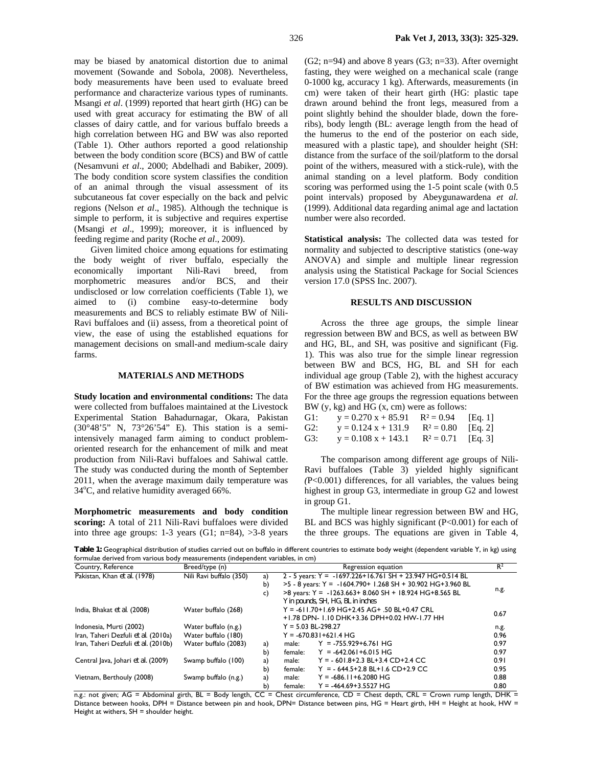may be biased by anatomical distortion due to animal movement (Sowande and Sobola, 2008). Nevertheless, body measurements have been used to evaluate breed performance and characterize various types of ruminants. Msangi *et al*. (1999) reported that heart girth (HG) can be used with great accuracy for estimating the BW of all classes of dairy cattle, and for various buffalo breeds a high correlation between HG and BW was also reported (Table 1). Other authors reported a good relationship between the body condition score (BCS) and BW of cattle (Nesamvuni *et al*., 2000; Abdelhadi and Babiker, 2009). The body condition score system classifies the condition of an animal through the visual assessment of its subcutaneous fat cover especially on the back and pelvic regions (Nelson *et al*., 1985). Although the technique is simple to perform, it is subjective and requires expertise (Msangi *et al*., 1999); moreover, it is influenced by feeding regime and parity (Roche *et al*., 2009).

Given limited choice among equations for estimating the body weight of river buffalo, especially the economically important Nili-Ravi breed, from morphometric measures and/or BCS, and their undisclosed or low correlation coefficients (Table 1), we aimed to (i) combine easy-to-determine body measurements and BCS to reliably estimate BW of Nili-Ravi buffaloes and (ii) assess, from a theoretical point of view, the ease of using the established equations for management decisions on small-and medium-scale dairy farms.

### **MATERIALS AND METHODS**

**Study location and environmental conditions:** The data were collected from buffaloes maintained at the Livestock Experimental Station Bahadurnagar, Okara, Pakistan (30°48'5" N, 73°26'54" E). This station is a semiintensively managed farm aiming to conduct problemoriented research for the enhancement of milk and meat production from Nili-Ravi buffaloes and Sahiwal cattle. The study was conducted during the month of September 2011, when the average maximum daily temperature was 34°C, and relative humidity averaged 66%.

**Morphometric measurements and body condition scoring:** A total of 211 Nili-Ravi buffaloes were divided into three age groups: 1-3 years (G1;  $n=84$ ),  $>3-8$  years

 $(G2; n=94)$  and above 8 years  $(G3; n=33)$ . After overnight fasting, they were weighed on a mechanical scale (range 0-1000 kg, accuracy 1 kg). Afterwards, measurements (in cm) were taken of their heart girth (HG: plastic tape drawn around behind the front legs, measured from a point slightly behind the shoulder blade, down the foreribs), body length (BL: average length from the head of the humerus to the end of the posterior on each side, measured with a plastic tape), and shoulder height (SH: distance from the surface of the soil/platform to the dorsal point of the withers, measured with a stick-rule), with the animal standing on a level platform. Body condition scoring was performed using the 1-5 point scale (with 0.5 point intervals) proposed by Abeygunawardena *et al.* (1999). Additional data regarding animal age and lactation number were also recorded.

**Statistical analysis:** The collected data was tested for normality and subjected to descriptive statistics (one-way ANOVA) and simple and multiple linear regression analysis using the Statistical Package for Social Sciences version 17.0 (SPSS Inc. 2007).

### **RESULTS AND DISCUSSION**

Across the three age groups, the simple linear regression between BW and BCS, as well as between BW and HG, BL, and SH, was positive and significant (Fig. 1). This was also true for the simple linear regression between BW and BCS, HG, BL and SH for each individual age group (Table 2), with the highest accuracy of BW estimation was achieved from HG measurements. For the three age groups the regression equations between BW (y, kg) and HG (x, cm) were as follows:

| G1: | $y = 0.270 x + 85.91$ | $R^2 = 0.94$ | [Eq. 1] |
|-----|-----------------------|--------------|---------|
| G2: | $y = 0.124 x + 131.9$ | $R^2 = 0.80$ | Eq. 2   |
| G3: | $y = 0.108 x + 143.1$ | $R^2 = 0.71$ | Eq. 3   |

The comparison among different age groups of Nili-Ravi buffaloes (Table 3) yielded highly significant *(*P<0.001) differences, for all variables, the values being highest in group G3, intermediate in group G2 and lowest in group G1.

The multiple linear regression between BW and HG, BL and BCS was highly significant (P<0.001) for each of the three groups. The equations are given in Table 4,

**Table 1:** Geographical distribution of studies carried out on buffalo in different countries to estimate body weight (dependent variable Y, in kg) using formulae derived from various body measurements (independent variables, in cm)

| Country, Reference                  | Breed/type (n)                | Regression equation |                                             |                                                                 | $R^2$ |
|-------------------------------------|-------------------------------|---------------------|---------------------------------------------|-----------------------------------------------------------------|-------|
| Pakistan, Khan et al. (1978)        | Nili Ravi buffalo (350)<br>a) |                     |                                             | 2 - 5 years: $Y = -1697.226 + 16.761 SH + 23.947 HG + 0.514 BL$ |       |
|                                     |                               | b)                  |                                             | $>5 - 8$ years: Y = -1604.790+ 1.268 SH + 30.902 HG+3.960 BL    |       |
|                                     | C)                            |                     |                                             | $>8$ years: Y = -1263.663+ 8.060 SH + 18.924 HG+8.565 BL        | n.g.  |
|                                     |                               |                     |                                             | Y in pounds, SH, HG, BL in inches                               |       |
| India, Bhakat et al. (2008)         | Water buffalo (268)           |                     |                                             | $Y = -611.70 + 1.69$ HG+2.45 AG+ .50 BL+0.47 CRL                |       |
|                                     |                               |                     | +1.78 DPN-1.10 DHK+3.36 DPH+0.02 HW-1.77 HH |                                                                 |       |
| Indonesia, Murti (2002)             | Water buffalo (n.g.)          |                     |                                             | $Y = 5.03$ BL-298.27                                            | n.g.  |
| Iran, Taheri Dezfuli et al. (2010a) | Water buffalo (180)           |                     |                                             | $Y = -670.831 + 621.4$ HG                                       | 0.96  |
| Iran, Taheri Dezfuli et al. (2010b) | Water buffalo (2083)          | a)                  | male:                                       | $Y = -755.929 + 6.761$ HG                                       | 0.97  |
|                                     |                               | b)                  | female:                                     | $Y = -642.061 + 6.015$ HG                                       | 0.97  |
| Central Java, Johari et al. (2009)  | Swamp buffalo (100)           | a)                  | male:                                       | $Y = -601.8 + 2.3$ BL + 3.4 CD + 2.4 CC                         | 0.91  |
|                                     |                               | b)                  | female:                                     | $Y = -644.5 + 2.8$ BL+1.6 CD+2.9 CC                             | 0.95  |
| Vietnam, Berthouly (2008)           | Swamp buffalo (n.g.)          | a)                  | male:                                       | $Y = -686.11 + 6.2080$ HG                                       | 0.88  |
|                                     |                               | b)                  | female:                                     | $Y = -464.69 + 3.5527$ HG                                       | 0.80  |

n.g.: not given; AG = Abdominal girth, BL = Body length, CC = Chest circumference, CD = Chest depth, CRL = Crown rump length, DHK = Distance between hooks, DPH = Distance between pin and hook*,* DPN= Distance between pins, HG = Heart girth, HH = Height at hook, HW = Height at withers,  $SH =$  shoulder height.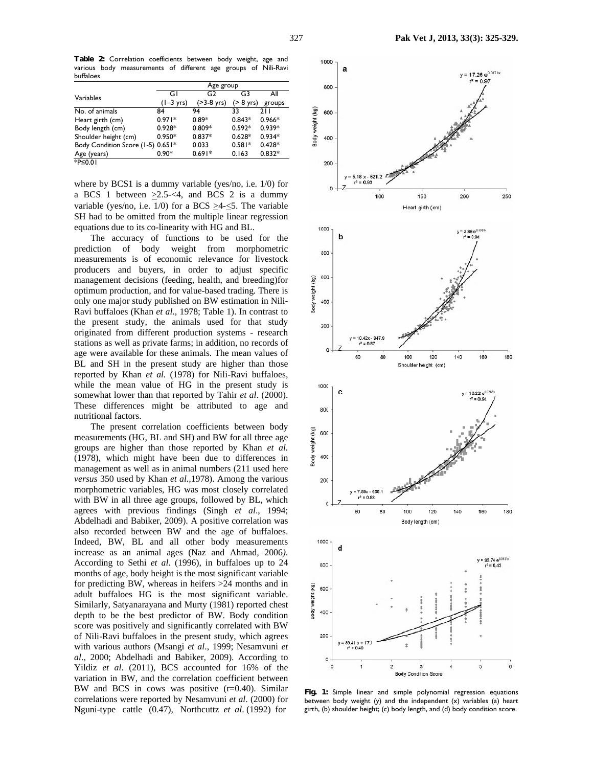**Table 2:** Correlation coefficients between body weight, age and various body measurements of different age groups of Nili-Ravi buffaloes

|                                   | Age group           |                       |              |          |  |
|-----------------------------------|---------------------|-----------------------|--------------|----------|--|
| Variables                         | G١                  | G2                    | G3           | All      |  |
|                                   | $(1-3 \text{ yrs})$ | $( >3-8 \text{ yrs})$ | $($ > 8 yrs) | groups   |  |
| No. of animals                    | 84                  | 94                    | 33           | 211      |  |
| Heart girth (cm)                  | $0.971*$            | $0.89*$               | $0.843*$     | $0.966*$ |  |
| Body length (cm)                  | $0.928*$            | $0.809*$              | $0.592*$     | $0.939*$ |  |
| Shoulder height (cm)              | $0.950*$            | $0.837*$              | $0.628*$     | $0.934*$ |  |
| Body Condition Score (1-5) 0.651* |                     | 0.033                 | $0.581*$     | $0.428*$ |  |
| Age (years)                       | $0.90*$             | $0.691*$              | 0.163        | $0.832*$ |  |
| <sup>*</sup> P≤0.01               |                     |                       |              |          |  |

where by BCS1 is a dummy variable (yes/no, i.e. 1/0) for a BCS 1 between  $>2.5-<4$ , and BCS 2 is a dummy variable (yes/no, i.e.  $1/0$ ) for a BCS  $\geq$ 4- $\leq$ 5. The variable SH had to be omitted from the multiple linear regression equations due to its co-linearity with HG and BL.

The accuracy of functions to be used for the prediction of body weight from morphometric measurements is of economic relevance for livestock producers and buyers, in order to adjust specific management decisions (feeding, health, and breeding)for optimum production, and for value-based trading*.* There is only one major study published on BW estimation in Nili-Ravi buffaloes (Khan *et al.*, 1978; Table 1). In contrast to the present study, the animals used for that study originated from different production systems - research stations as well as private farms; in addition, no records of age were available for these animals. The mean values of BL and SH in the present study are higher than those reported by Khan *et al.* (1978) for Nili-Ravi buffaloes, while the mean value of HG in the present study is somewhat lower than that reported by Tahir *et al*. (2000). These differences might be attributed to age and nutritional factors.

The present correlation coefficients between body measurements (HG, BL and SH) and BW for all three age groups are higher than those reported by Khan *et al.* (1978), which might have been due to differences in management as well as in animal numbers (211 used here *versus* 350 used by Khan *et al.,*1978). Among the various morphometric variables, HG was most closely correlated with BW in all three age groups, followed by BL, which agrees with previous findings (Singh *et al*., 1994; Abdelhadi and Babiker, 2009). A positive correlation was also recorded between BW and the age of buffaloes. Indeed, BW, BL and all other body measurements increase as an animal ages (Naz and Ahmad*,* 2006*)*. According to Sethi *et al*. (1996), in buffaloes up to 24 months of age, body height is the most significant variable for predicting BW, whereas in heifers >24 months and in adult buffaloes HG is the most significant variable. Similarly, Satyanarayana and Murty (1981) reported chest depth to be the best predictor of BW. Body condition score was positively and significantly correlated with BW of Nili-Ravi buffaloes in the present study, which agrees with various authors (Msangi *et al*., 1999; Nesamvuni *et al*., 2000; Abdelhadi and Babiker, 2009). According to Yildiz *et al*. (2011), BCS accounted for 16% of the variation in BW, and the correlation coefficient between BW and BCS in cows was positive (r=0.40). Similar correlations were reported by Nesamvuni *et al*. (2000) for Nguni-type cattle (0.47), Northcuttz *et al*. (1992) for



**Fig. 1:** Simple linear and simple polynomial regression equations between body weight (y) and the independent (x) variables (a) heart girth, (b) shoulder height; (c) body length, and (d) body condition score.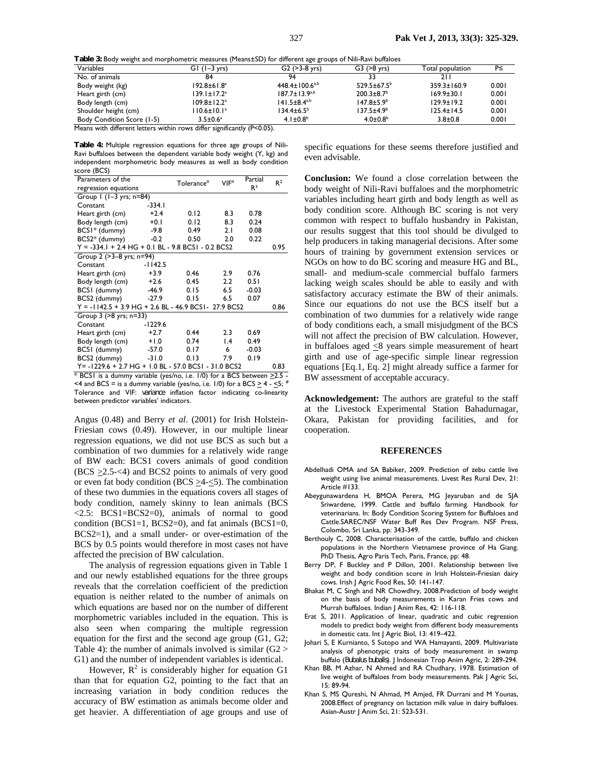**Table 3:** Body weight and morphometric measures (Means±SD) for different age groups of Nili-Ravi buffaloes

|                                   |                               | ີ                              |                              |                   |       |
|-----------------------------------|-------------------------------|--------------------------------|------------------------------|-------------------|-------|
| Variables                         | $GI$ $(I-3$ $yrs)$            | $G2 (>3-8$ yrs)                | $G3 (>8$ yrs)                | Total population  | P≤    |
| No. of animals                    | 84                            | 94                             | 33                           | 211               |       |
| Body weight (kg)                  | $192.8 \pm 61.8$ <sup>a</sup> | $448.4 \pm 100.6^{a,b}$        | $529.5 \pm 67.5^{\circ}$     | $359.3 \pm 160.9$ | 0.001 |
| Heart girth (cm)                  | $139.1 \pm 17.2^a$            | $187.7 \pm 13.9^{a,b}$         | $200.3 \pm 8.7$ <sup>b</sup> | $169.9 \pm 30.1$  | 0.001 |
| Body length (cm)                  | $109.8 \pm 12.2^{\circ}$      | $141.5 \pm 8.4$ <sup>a,b</sup> | $147.8 \pm 5.9^b$            | $129.9 \pm 19.2$  | 0.001 |
| Shoulder height (cm)              | $110.6 \pm 10.1^a$            | $134.4 \pm 6.5^b$              | $137.5 \pm 4.9^b$            | $125.4 \pm 14.5$  | 0.001 |
| <b>Body Condition Score (1-5)</b> | $3.5 \pm 0.6^a$               | 4.1 $\pm 0.8^b$                | $4.0{\pm}0.8^{\rm b}$        | $3.8 \pm 0.8$     | 0.001 |
| $\cdots$<br>.                     | $\cdots$                      | $\sim$ $\sim$ $\sim$ $\sim$    |                              |                   |       |

Means with different letters within rows differ significantly (P<0.05).

**Table 4:** Multiple regression equations for three age groups of Nili-Ravi buffaloes between the dependent variable body weight (Y, kg) and independent morphometric body measures as well as body condition score (BCS)

| Parameters of the                                       |           | $T$ olerance $#$ | VIF             | Partial        | $R^2$ |  |
|---------------------------------------------------------|-----------|------------------|-----------------|----------------|-------|--|
| regression equations                                    |           |                  |                 | R <sup>2</sup> |       |  |
| Group 1 (1-3 yrs; n=84)                                 |           |                  |                 |                |       |  |
| Constant                                                | -334.1    |                  |                 |                |       |  |
| Heart girth (cm)                                        | $+2.4$    | 0.12             | 8.3             | 0.78           |       |  |
| Body length (cm)                                        | $+0.1$    | 0.12             | 8.3             | 0.24           |       |  |
| BCSI* (dummy)                                           | $-9.8$    | 0.49             | 2.1             | 0.08           |       |  |
| BCS2* (dummy)                                           | $-0.2$    | 0.50             | 2.0             | 0.22           |       |  |
| $Y = -334.1 + 2.4$ HG + 0.1 BL - 9.8 BCS1 - 0.2 BCS2    |           |                  |                 |                | 0.95  |  |
| Group 2 (>3-8 yrs; n=94)                                |           |                  |                 |                |       |  |
| Constant                                                | $-1142.5$ |                  |                 |                |       |  |
| Heart girth (cm)                                        | $+3.9$    | 0.46             | 2.9             | 0.76           |       |  |
| Body length (cm)                                        | $+2.6$    | 0.45             | 2.2             | 0.51           |       |  |
| BCSI (dummy)                                            | $-46.9$   | 0.15             | 6.5             | $-0.03$        |       |  |
| BCS2 (dummy)                                            | $-27.9$   | 0.15             | 6.5             | 0.07           |       |  |
| $Y = -1142.5 + 3.9$ HG + 2.6 BL - 46.9 BCS1 - 27.9 BCS2 |           |                  |                 |                | 0.86  |  |
| Group 3 (>8 yrs; n=33)                                  |           |                  |                 |                |       |  |
| Constant                                                | -1229.6   |                  |                 |                |       |  |
| Heart girth (cm)                                        | $+2.7$    | 0.44             | 2.3             | 0.69           |       |  |
| Body length (cm)                                        | $+1.0$    | 0.74             | $\mathsf{I}$ .4 | 0.49           |       |  |
| BCSI (dummy)                                            | $-57.0$   | 0.17             | 6               | $-0.03$        |       |  |
| BCS2 (dummy)                                            | $-31.0$   | 0.13             | 7.9             | 0.19           |       |  |
| Y= -1229.6 + 2.7 HG + 1.0 BL - 57.0 BCS1 - 31.0 BCS2    |           |                  |                 |                | 0.83  |  |

 $*$  BCS1 is a dummy variable (yes/no, i.e. 1/0) for a BCS between  $\geq$ 2.5 - $\leq$  4 and BCS = is a dummy variable (yes/no, i.e. 1/0) for a BCS  $\geq$  4 -  $\leq$ 5; Tolerance and VIF: *variance* inflation factor indicating co-linearity between predictor variables' indicators.

Angus (0.48) and Berry *et al*. (2001) for Irish Holstein-Friesian cows (0.49). However, in our multiple linear regression equations, we did not use BCS as such but a combination of two dummies for a relatively wide range of BW each: BCS1 covers animals of good condition  $(BCS \geq 2.5 \leq 4)$  and BCS2 points to animals of very good or even fat body condition (BCS  $\geq$ 4- $\leq$ 5). The combination of these two dummies in the equations covers all stages of body condition, namely skinny to lean animals (BCS  $\langle 2.5$ : BCS1=BCS2=0), animals of normal to good condition ( $BCS1=1$ ,  $BCS2=0$ ), and fat animals ( $BCS1=0$ , BCS2=1), and a small under- or over-estimation of the BCS by 0.5 points would therefore in most cases not have affected the precision of BW calculation.

The analysis of regression equations given in Table 1 and our newly established equations for the three groups reveals that the correlation coefficient of the prediction equation is neither related to the number of animals on which equations are based nor on the number of different morphometric variables included in the equation. This is also seen when comparing the multiple regression equation for the first and the second age group (G1, G2; Table 4): the number of animals involved is similar  $(G2 >$ G1) and the number of independent variables is identical.

However,  $R^2$  is considerably higher for equation G1 than that for equation G2, pointing to the fact that an increasing variation in body condition reduces the accuracy of BW estimation as animals become older and get heavier. A differentiation of age groups and use of specific equations for these seems therefore justified and even advisable.

**Conclusion:** We found a close correlation between the body weight of Nili-Ravi buffaloes and the morphometric variables including heart girth and body length as well as body condition score. Although BC scoring is not very common with respect to buffalo husbandry in Pakistan, our results suggest that this tool should be divulged to help producers in taking managerial decisions. After some hours of training by government extension services or NGOs on how to do BC scoring and measure HG and BL, small- and medium-scale commercial buffalo farmers lacking weigh scales should be able to easily and with satisfactory accuracy estimate the BW of their animals. Since our equations do not use the BCS itself but a combination of two dummies for a relatively wide range of body conditions each, a small misjudgment of the BCS will not affect the precision of BW calculation. However, in buffaloes aged  $\leq$ 8 years simple measurement of heart girth and use of age-specific simple linear regression equations [Eq.1, Eq. 2] might already suffice a farmer for BW assessment of acceptable accuracy.

**Acknowledgement:** The authors are grateful to the staff at the Livestock Experimental Station Bahadurnagar, Okara, Pakistan for providing facilities, and for cooperation.

### **REFERENCES**

- Abdelhadi OMA and SA Babiker, 2009. Prediction of zebu cattle live weight using live animal measurements. Livest Res Rural Dev, 21: Article #133.
- Abeygunawardena H, BMOA Perera, MG Jeyaruban and de SJA Sriwardene, 1999. Cattle and buffalo farming. Handbook for veterinarians. In: Body Condition Scoring System for Buffaloes and Cattle.SAREC/NSF Water Buff Res Dev Program. NSF Press, Colombo, Sri Lanka, pp: 343-349.
- Berthouly C, 2008. Characterisation of the cattle, buffalo and chicken populations in the Northern Vietnamese province of Ha Giang. PhD Thesis, Agro Paris Tech, Paris, France, pp: 48.
- Berry DP, F Buckley and P Dillon, 2001. Relationship between live weight and body condition score in Irish Holstein-Friesian dairy cows. Irish J Agric Food Res, 50: 141-147.
- Bhakat M, C Singh and NR Chowdhry, 2008.Prediction of body weight on the basis of body measurements in Karan Fries cows and Murrah buffaloes. Indian J Anim Res, 42: 116-118.
- Erat S, 2011. Application of linear, quadratic and cubic regression models to predict body weight from different body measurements in domestic cats. Int J Agric Biol, 13: 419–422.
- Johari S, E Kurnianto, S Sutopo and WA Hamayanti, 2009. Multivariate analysis of phenotypic traits of body measurement in swamp buffalo (*Bubalus bubalis*). J Indonesian Trop Anim Agric, 2: 289-294.
- Khan BB, M Azhar, N Ahmed and RA Chudhary, 1978. Estimation of live weight of buffaloes from body measurements. Pak J Agric Sci, 15: 89-94.
- Khan S, MS Qureshi, N Ahmad, M Amjed, FR Durrani and M Younas, 2008.Effect of pregnancy on lactation milk value in dairy buffaloes. Asian-Austr J Anim Sci, 21: 523-531.